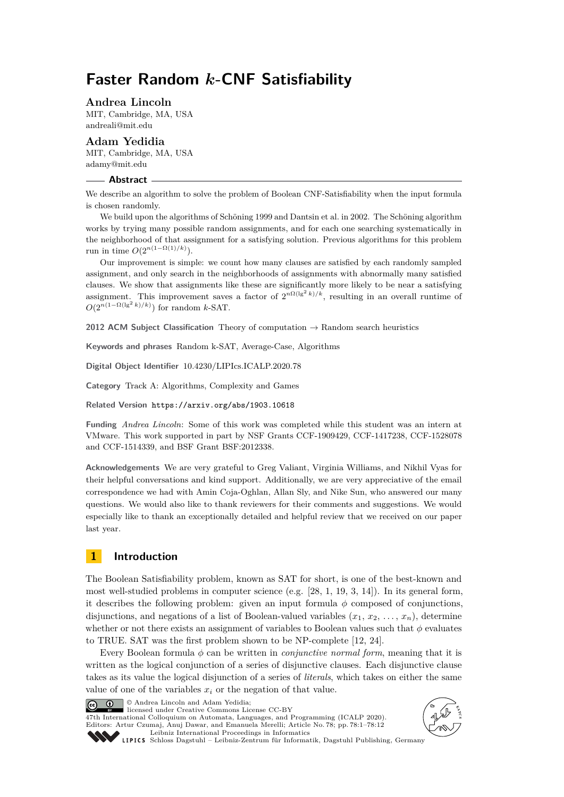# **Faster Random** *k***-CNF Satisfiability**

**Andrea Lincoln**

MIT, Cambridge, MA, USA [andreali@mit.edu](mailto:andreali@mit.edu)

**Adam Yedidia** MIT, Cambridge, MA, USA [adamy@mit.edu](mailto:adamy@mit.edu)

#### **Abstract**

We describe an algorithm to solve the problem of Boolean CNF-Satisfiability when the input formula is chosen randomly.

We build upon the algorithms of Schöning 1999 and Dantsin et al. in 2002. The Schöning algorithm works by trying many possible random assignments, and for each one searching systematically in the neighborhood of that assignment for a satisfying solution. Previous algorithms for this problem run in time  $O(2^{n(1-\Omega(1)/k)}).$ 

Our improvement is simple: we count how many clauses are satisfied by each randomly sampled assignment, and only search in the neighborhoods of assignments with abnormally many satisfied clauses. We show that assignments like these are significantly more likely to be near a satisfying assignment. This improvement saves a factor of  $2^{n\Omega(\lg^2 k)/k}$ , resulting in an overall runtime of  $O(2^{n(1-\Omega(\lg^2 k)/k)})$  for random *k*-SAT.

**2012 ACM Subject Classification** Theory of computation → Random search heuristics

**Keywords and phrases** Random k-SAT, Average-Case, Algorithms

**Digital Object Identifier** [10.4230/LIPIcs.ICALP.2020.78](https://doi.org/10.4230/LIPIcs.ICALP.2020.78)

**Category** Track A: Algorithms, Complexity and Games

**Related Version** <https://arxiv.org/abs/1903.10618>

**Funding** *Andrea Lincoln*: Some of this work was completed while this student was an intern at VMware. This work supported in part by NSF Grants CCF-1909429, CCF-1417238, CCF-1528078 and CCF-1514339, and BSF Grant BSF:2012338.

**Acknowledgements** We are very grateful to Greg Valiant, Virginia Williams, and Nikhil Vyas for their helpful conversations and kind support. Additionally, we are very appreciative of the email correspondence we had with Amin Coja-Oghlan, Allan Sly, and Nike Sun, who answered our many questions. We would also like to thank reviewers for their comments and suggestions. We would especially like to thank an exceptionally detailed and helpful review that we received on our paper last year.

# **1 Introduction**

The Boolean Satisfiability problem, known as SAT for short, is one of the best-known and most well-studied problems in computer science (e.g.  $[28, 1, 19, 3, 14]$  $[28, 1, 19, 3, 14]$  $[28, 1, 19, 3, 14]$  $[28, 1, 19, 3, 14]$  $[28, 1, 19, 3, 14]$  $[28, 1, 19, 3, 14]$  $[28, 1, 19, 3, 14]$  $[28, 1, 19, 3, 14]$  $[28, 1, 19, 3, 14]$ ). In its general form, it describes the following problem: given an input formula  $\phi$  composed of conjunctions, disjunctions, and negations of a list of Boolean-valued variables  $(x_1, x_2, \ldots, x_n)$ , determine whether or not there exists an assignment of variables to Boolean values such that *φ* evaluates to TRUE. SAT was the first problem shown to be NP-complete [\[12,](#page-10-3) [24\]](#page-11-1).

Every Boolean formula *φ* can be written in *conjunctive normal form*, meaning that it is written as the logical conjunction of a series of disjunctive clauses. Each disjunctive clause takes as its value the logical disjunction of a series of *literals*, which takes on either the same value of one of the variables  $x_i$  or the negation of that value.

© Andrea Lincoln and Adam Yedidia;  $\boxed{6}$  0

licensed under Creative Commons License CC-BY 47th International Colloquium on Automata, Languages, and Programming (ICALP 2020). Editors: Artur Czumaj, Anuj Dawar, and Emanuela Merelli; Article No. 78; pp. 78:1–78[:12](#page-11-2)



[Leibniz International Proceedings in Informatics](https://www.dagstuhl.de/lipics/) [Schloss Dagstuhl – Leibniz-Zentrum für Informatik, Dagstuhl Publishing, Germany](https://www.dagstuhl.de)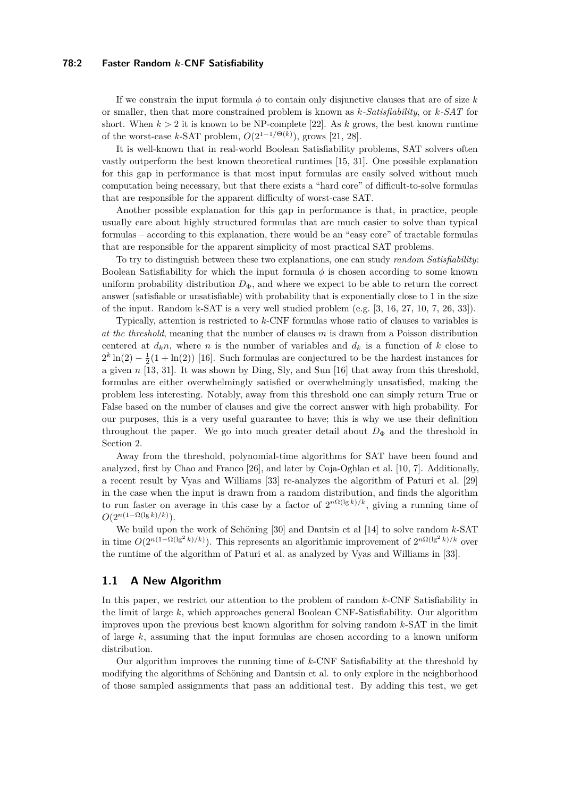### **78:2 Faster Random** *k***-CNF Satisfiability**

If we constrain the input formula  $\phi$  to contain only disjunctive clauses that are of size k or smaller, then that more constrained problem is known as *k-Satisfiability*, or *k-SAT* for short. When  $k > 2$  it is known to be NP-complete [\[22\]](#page-11-3). As k grows, the best known runtime of the worst-case *k*-SAT problem,  $O(2^{1-1/\Theta(k)})$ , grows [\[21,](#page-11-4) [28\]](#page-11-0).

It is well-known that in real-world Boolean Satisfiability problems, SAT solvers often vastly outperform the best known theoretical runtimes [\[15,](#page-10-4) [31\]](#page-11-5). One possible explanation for this gap in performance is that most input formulas are easily solved without much computation being necessary, but that there exists a "hard core" of difficult-to-solve formulas that are responsible for the apparent difficulty of worst-case SAT.

Another possible explanation for this gap in performance is that, in practice, people usually care about highly structured formulas that are much easier to solve than typical formulas – according to this explanation, there would be an "easy core" of tractable formulas that are responsible for the apparent simplicity of most practical SAT problems.

To try to distinguish between these two explanations, one can study *random Satisfiability*: Boolean Satisfiability for which the input formula  $\phi$  is chosen according to some known uniform probability distribution  $D_{\Phi}$ , and where we expect to be able to return the correct answer (satisfiable or unsatisfiable) with probability that is exponentially close to 1 in the size of the input. Random k-SAT is a very well studied problem (e.g. [\[3,](#page-10-1) [16,](#page-10-5) [27,](#page-11-6) [10,](#page-10-6) [7,](#page-10-7) [26,](#page-11-7) [33\]](#page-11-8)).

Typically, attention is restricted to *k*-CNF formulas whose ratio of clauses to variables is *at the threshold*, meaning that the number of clauses *m* is drawn from a Poisson distribution centered at  $d_k n$ , where *n* is the number of variables and  $d_k$  is a function of *k* close to  $2^k \ln(2) - \frac{1}{2}(1 + \ln(2))$  [\[16\]](#page-10-5). Such formulas are conjectured to be the hardest instances for a given *n* [\[13,](#page-10-8) [31\]](#page-11-5). It was shown by Ding, Sly, and Sun [\[16\]](#page-10-5) that away from this threshold, formulas are either overwhelmingly satisfied or overwhelmingly unsatisfied, making the problem less interesting. Notably, away from this threshold one can simply return True or False based on the number of clauses and give the correct answer with high probability. For our purposes, this is a very useful guarantee to have; this is why we use their definition throughout the paper. We go into much greater detail about  $D_{\Phi}$  and the threshold in Section [2.](#page-4-0)

Away from the threshold, polynomial-time algorithms for SAT have been found and analyzed, first by Chao and Franco [\[26\]](#page-11-7), and later by Coja-Oghlan et al. [\[10,](#page-10-6) [7\]](#page-10-7). Additionally, a recent result by Vyas and Williams [\[33\]](#page-11-8) re-analyzes the algorithm of Paturi et al. [\[29\]](#page-11-9) in the case when the input is drawn from a random distribution, and finds the algorithm to run faster on average in this case by a factor of  $2^{n\Omega(\lg k)/k}$ , giving a running time of  $O(2^{n(1-\Omega(\lg k)/k)}).$ 

We build upon the work of Schöning [\[30\]](#page-11-10) and Dantsin et al [\[14\]](#page-10-2) to solve random *k*-SAT in time  $O(2^{n(1-\Omega(\lg^2 k)/k})$ . This represents an algorithmic improvement of  $2^{n\Omega(\lg^2 k)/k}$  over the runtime of the algorithm of Paturi et al. as analyzed by Vyas and Williams in [\[33\]](#page-11-8).

# <span id="page-1-0"></span>**1.1 A New Algorithm**

In this paper, we restrict our attention to the problem of random *k*-CNF Satisfiability in the limit of large *k*, which approaches general Boolean CNF-Satisfiability. Our algorithm improves upon the previous best known algorithm for solving random *k*-SAT in the limit of large *k*, assuming that the input formulas are chosen according to a known uniform distribution.

Our algorithm improves the running time of *k*-CNF Satisfiability at the threshold by modifying the algorithms of Schöning and Dantsin et al. to only explore in the neighborhood of those sampled assignments that pass an additional test. By adding this test, we get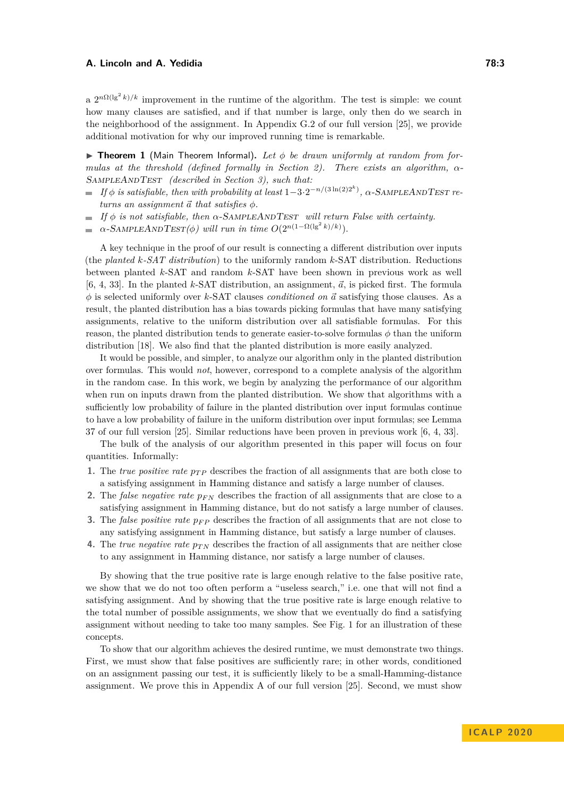a  $2^{n\Omega(\lg^2 k)/k}$  improvement in the runtime of the algorithm. The test is simple: we count how many clauses are satisfied, and if that number is large, only then do we search in the neighborhood of the assignment. In Appendix G.2 of our full version [\[25\]](#page-11-11), we provide additional motivation for why our improved running time is remarkable.

**Figure 1** (Main Theorem Informal). Let  $\phi$  be drawn uniformly at random from for*mulas at the threshold (defined formally in Section [2\)](#page-4-0). There exists an algorithm, α*-SampleAndTest *(described in Section [3\)](#page-7-0), such that:*

- *If*  $\phi$  *is satisfiable, then with probability at least*  $1-3 \cdot 2^{-n/(3 \ln(2)2^k)}$ ,  $\alpha$ -SAMPLEANDTEST re $turns$  *an assignment*  $\vec{a}$  *that satisfies*  $\phi$ *.*
- $\blacksquare$  *If*  $\phi$  *is not satisfiable, then*  $\alpha$ -SAMPLEANDTEST *will return False with certainty.*
- $\alpha$ -SAMPLEANDTEST( $\phi$ ) will run in time  $O(2^{n(1-\Omega(\lg^2 k)/k)})$ .  $\sim$

A key technique in the proof of our result is connecting a different distribution over inputs (the *planted k-SAT distribution*) to the uniformly random *k*-SAT distribution. Reductions between planted *k*-SAT and random *k*-SAT have been shown in previous work as well [\[6,](#page-10-9) [4,](#page-10-10) [33\]](#page-11-8). In the planted *k*-SAT distribution, an assignment,  $\vec{a}$ , is picked first. The formula *φ* is selected uniformly over *k*-SAT clauses *conditioned on ~a* satisfying those clauses. As a result, the planted distribution has a bias towards picking formulas that have many satisfying assignments, relative to the uniform distribution over all satisfiable formulas. For this reason, the planted distribution tends to generate easier-to-solve formulas  $\phi$  than the uniform distribution [\[18\]](#page-10-11). We also find that the planted distribution is more easily analyzed.

It would be possible, and simpler, to analyze our algorithm only in the planted distribution over formulas. This would *not*, however, correspond to a complete analysis of the algorithm in the random case. In this work, we begin by analyzing the performance of our algorithm when run on inputs drawn from the planted distribution. We show that algorithms with a sufficiently low probability of failure in the planted distribution over input formulas continue to have a low probability of failure in the uniform distribution over input formulas; see Lemma 37 of our full version [\[25\]](#page-11-11). Similar reductions have been proven in previous work [\[6,](#page-10-9) [4,](#page-10-10) [33\]](#page-11-8).

The bulk of the analysis of our algorithm presented in this paper will focus on four quantities. Informally:

- **1.** The *true positive rate*  $p_{TP}$  describes the fraction of all assignments that are both close to a satisfying assignment in Hamming distance and satisfy a large number of clauses.
- **2.** The *false negative rate pF N* describes the fraction of all assignments that are close to a satisfying assignment in Hamming distance, but do not satisfy a large number of clauses.
- **3.** The *false positive rate pF P* describes the fraction of all assignments that are not close to any satisfying assignment in Hamming distance, but satisfy a large number of clauses.
- **4.** The *true negative rate*  $p_{TN}$  describes the fraction of all assignments that are neither close to any assignment in Hamming distance, nor satisfy a large number of clauses.

By showing that the true positive rate is large enough relative to the false positive rate, we show that we do not too often perform a "useless search," i.e. one that will not find a satisfying assignment. And by showing that the true positive rate is large enough relative to the total number of possible assignments, we show that we eventually do find a satisfying assignment without needing to take too many samples. See Fig. [1](#page-3-0) for an illustration of these concepts.

To show that our algorithm achieves the desired runtime, we must demonstrate two things. First, we must show that false positives are sufficiently rare; in other words, conditioned on an assignment passing our test, it is sufficiently likely to be a small-Hamming-distance assignment. We prove this in Appendix A of our full version [\[25\]](#page-11-11). Second, we must show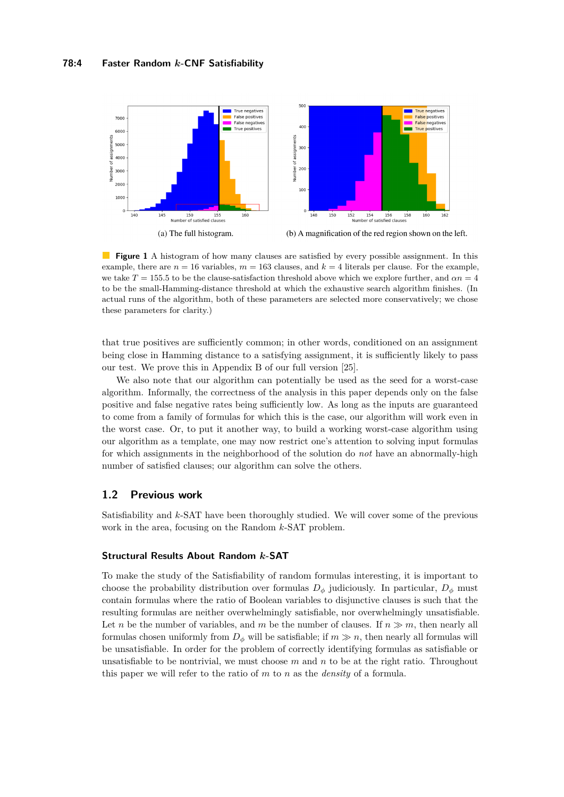<span id="page-3-0"></span>

 $\mathcal{L}_{\mathcal{A}}$ **Figure 1** A histogram of how many clauses are satisfied by every possible assignment. In this example, there are  $n = 16$  variables,  $m = 163$  clauses, and  $k = 4$  literals per clause. For the example, we take  $T = 155.5$  to be the clause-satisfaction threshold above which we explore further, and  $\alpha n = 4$ to be the small-Hamming-distance threshold at which the exhaustive search algorithm finishes. (In actual runs of the algorithm, both of these parameters are selected more conservatively; we chose these parameters for clarity.)

that true positives are sufficiently common; in other words, conditioned on an assignment being close in Hamming distance to a satisfying assignment, it is sufficiently likely to pass our test. We prove this in Appendix B of our full version [\[25\]](#page-11-11).

We also note that our algorithm can potentially be used as the seed for a worst-case algorithm. Informally, the correctness of the analysis in this paper depends only on the false positive and false negative rates being sufficiently low. As long as the inputs are guaranteed to come from a family of formulas for which this is the case, our algorithm will work even in the worst case. Or, to put it another way, to build a working worst-case algorithm using our algorithm as a template, one may now restrict one's attention to solving input formulas for which assignments in the neighborhood of the solution do *not* have an abnormally-high number of satisfied clauses; our algorithm can solve the others.

# **1.2 Previous work**

Satisfiability and *k*-SAT have been thoroughly studied. We will cover some of the previous work in the area, focusing on the Random *k*-SAT problem.

# **Structural Results About Random** *k***-SAT**

To make the study of the Satisfiability of random formulas interesting, it is important to choose the probability distribution over formulas  $D_{\phi}$  judiciously. In particular,  $D_{\phi}$  must contain formulas where the ratio of Boolean variables to disjunctive clauses is such that the resulting formulas are neither overwhelmingly satisfiable, nor overwhelmingly unsatisfiable. Let *n* be the number of variables, and *m* be the number of clauses. If  $n \gg m$ , then nearly all formulas chosen uniformly from  $D_{\phi}$  will be satisfiable; if  $m \gg n$ , then nearly all formulas will be unsatisfiable. In order for the problem of correctly identifying formulas as satisfiable or unsatisfiable to be nontrivial, we must choose *m* and *n* to be at the right ratio. Throughout this paper we will refer to the ratio of *m* to *n* as the *density* of a formula.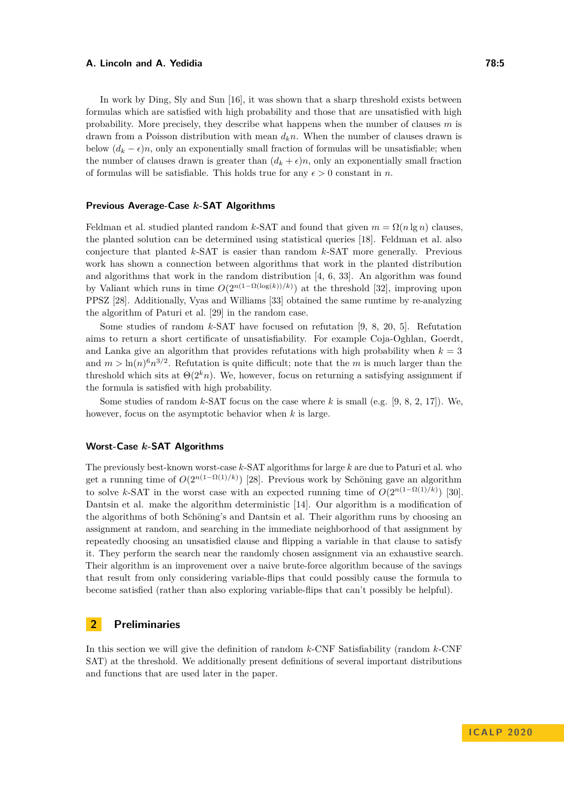In work by Ding, Sly and Sun [\[16\]](#page-10-5), it was shown that a sharp threshold exists between formulas which are satisfied with high probability and those that are unsatisfied with high probability. More precisely, they describe what happens when the number of clauses *m* is drawn from a Poisson distribution with mean *dkn*. When the number of clauses drawn is below  $(d_k - \epsilon)n$ , only an exponentially small fraction of formulas will be unsatisfiable; when the number of clauses drawn is greater than  $(d_k + \epsilon)n$ , only an exponentially small fraction of formulas will be satisfiable. This holds true for any  $\epsilon > 0$  constant in *n*.

## **Previous Average-Case** *k***-SAT Algorithms**

Feldman et al. studied planted random *k*-SAT and found that given  $m = \Omega(n \lg n)$  clauses, the planted solution can be determined using statistical queries [\[18\]](#page-10-11). Feldman et al. also conjecture that planted *k*-SAT is easier than random *k*-SAT more generally. Previous work has shown a connection between algorithms that work in the planted distribution and algorithms that work in the random distribution [\[4,](#page-10-10) [6,](#page-10-9) [33\]](#page-11-8). An algorithm was found by Valiant which runs in time  $O(2^{n(1-\Omega(\log(k))/k)})$  at the threshold [\[32\]](#page-11-12), improving upon PPSZ [\[28\]](#page-11-0). Additionally, Vyas and Williams [\[33\]](#page-11-8) obtained the same runtime by re-analyzing the algorithm of Paturi et al. [\[29\]](#page-11-9) in the random case.

Some studies of random *k*-SAT have focused on refutation [\[9,](#page-10-12) [8,](#page-10-13) [20,](#page-11-13) [5\]](#page-10-14). Refutation aims to return a short certificate of unsatisfiability. For example Coja-Oghlan, Goerdt, and Lanka give an algorithm that provides refutations with high probability when  $k = 3$ and  $m > \ln(n)^6 n^{3/2}$ . Refutation is quite difficult; note that the *m* is much larger than the threshold which sits at  $\Theta(2^k n)$ . We, however, focus on returning a satisfying assignment if the formula is satisfied with high probability.

Some studies of random *k*-SAT focus on the case where *k* is small (e.g. [\[9,](#page-10-12) [8,](#page-10-13) [2,](#page-9-1) [17\]](#page-10-15)). We, however, focus on the asymptotic behavior when *k* is large.

# **Worst-Case** *k***-SAT Algorithms**

The previously best-known worst-case *k*-SAT algorithms for large *k* are due to Paturi et al. who get a running time of  $O(2^{n(1-\Omega(1)/k)})$  [\[28\]](#page-11-0). Previous work by Schöning gave an algorithm to solve *k*-SAT in the worst case with an expected running time of  $O(2^{n(1-\Omega(1)/k)})$  [\[30\]](#page-11-10). Dantsin et al. make the algorithm deterministic [\[14\]](#page-10-2). Our algorithm is a modification of the algorithms of both Schöning's and Dantsin et al. Their algorithm runs by choosing an assignment at random, and searching in the immediate neighborhood of that assignment by repeatedly choosing an unsatisfied clause and flipping a variable in that clause to satisfy it. They perform the search near the randomly chosen assignment via an exhaustive search. Their algorithm is an improvement over a naive brute-force algorithm because of the savings that result from only considering variable-flips that could possibly cause the formula to become satisfied (rather than also exploring variable-flips that can't possibly be helpful).

## <span id="page-4-0"></span>**2 Preliminaries**

In this section we will give the definition of random *k*-CNF Satisfiability (random *k*-CNF SAT) at the threshold. We additionally present definitions of several important distributions and functions that are used later in the paper.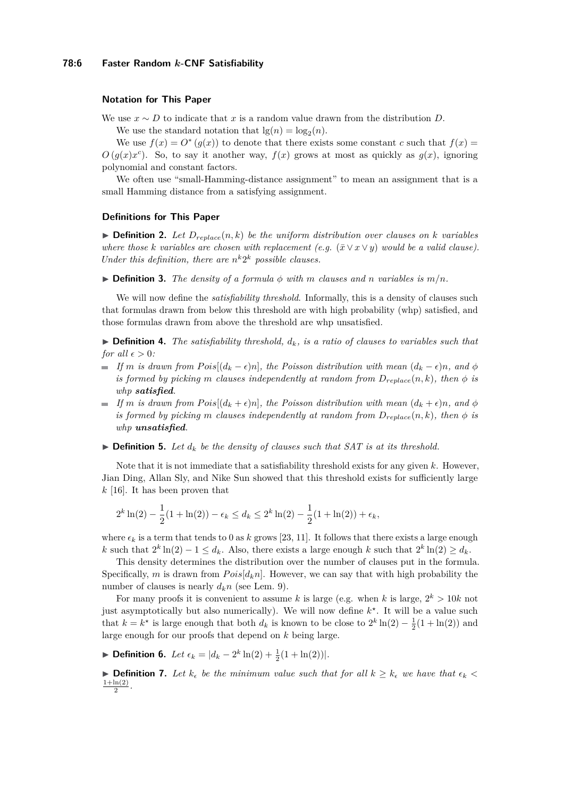## **Notation for This Paper**

We use  $x \sim D$  to indicate that *x* is a random value drawn from the distribution *D*.

We use the standard notation that  $\lg(n) = \log_2(n)$ .

We use  $f(x) = O^*(g(x))$  to denote that there exists some constant *c* such that  $f(x) =$  $O(g(x)x^c)$ . So, to say it another way,  $f(x)$  grows at most as quickly as  $g(x)$ , ignoring polynomial and constant factors.

We often use "small-Hamming-distance assignment" to mean an assignment that is a small Hamming distance from a satisfying assignment.

#### **Definitions for This Paper**

 $\triangleright$  **Definition 2.** Let  $D_{replace}(n, k)$  be the uniform distribution over clauses on *k* variables *where those k variables are chosen with replacement*  $(e.g. (\bar{x} \vee x \vee y)$  *would be a valid clause*). *Under this definition, there are*  $n^k 2^k$  *possible clauses.* 

 $\triangleright$  **Definition 3.** The density of a formula  $\phi$  with m clauses and n variables is  $m/n$ .

We will now define the *satisfiability threshold*. Informally, this is a density of clauses such that formulas drawn from below this threshold are with high probability (whp) satisfied, and those formulas drawn from above the threshold are whp unsatisfied.

 $\triangleright$  **Definition 4.** *The satisfiability threshold,*  $d_k$ *, is a ratio of clauses to variables such that for all*  $\epsilon > 0$ *:* 

- $\blacksquare$  *If m* is drawn from Pois $[(d_k \epsilon)n]$ *, the Poisson distribution with mean*  $(d_k \epsilon)n$ *, and*  $\phi$ *is formed by picking m clauses independently at random from*  $D_{replace}(n, k)$ *, then*  $\phi$  *is whp satisfied.*
- *If m is drawn from Pois*[ $(d_k + \epsilon)n$ ]*, the Poisson distribution with mean*  $(d_k + \epsilon)n$ *, and*  $\phi$ *is formed by picking m clauses independently at random from*  $D_{replace}(n, k)$ *, then*  $\phi$  *is whp unsatisfied.*
- $\triangleright$  **Definition 5.** Let  $d_k$  be the density of clauses such that SAT is at its threshold.

Note that it is not immediate that a satisfiability threshold exists for any given *k*. However, Jian Ding, Allan Sly, and Nike Sun showed that this threshold exists for sufficiently large *k* [\[16\]](#page-10-5). It has been proven that

$$
2^{k}\ln(2) - \frac{1}{2}(1 + \ln(2)) - \epsilon_k \le d_k \le 2^{k}\ln(2) - \frac{1}{2}(1 + \ln(2)) + \epsilon_k,
$$

where  $\epsilon_k$  is a term that tends to 0 as  $k$  grows [\[23,](#page-11-14) [11\]](#page-10-16). It follows that there exists a large enough *k* such that  $2^k \ln(2) - 1 \le d_k$ . Also, there exists a large enough *k* such that  $2^k \ln(2) \ge d_k$ .

This density determines the distribution over the number of clauses put in the formula. Specifically, *m* is drawn from  $Pois[d_kn]$ . However, we can say that with high probability the number of clauses is nearly  $d_k n$  (see Lem. [9\)](#page-6-0).

For many proofs it is convenient to assume *k* is large (e.g. when *k* is large,  $2^k > 10k$  not just asymptotically but also numerically). We will now define  $k^*$ . It will be a value such that  $k = k^*$  is large enough that both  $d_k$  is known to be close to  $2^k \ln(2) - \frac{1}{2}(1 + \ln(2))$  and large enough for our proofs that depend on *k* being large.

**► Definition 6.** *Let*  $\epsilon_k = |d_k - 2^k \ln(2) + \frac{1}{2}(1 + \ln(2))|$ *.* 

▶ **Definition 7.** Let  $k_{\epsilon}$  be the minimum value such that for all  $k \geq k_{\epsilon}$  we have that  $\epsilon_k$  $1 + \ln(2)$  $\frac{\ln(2)}{2}$ .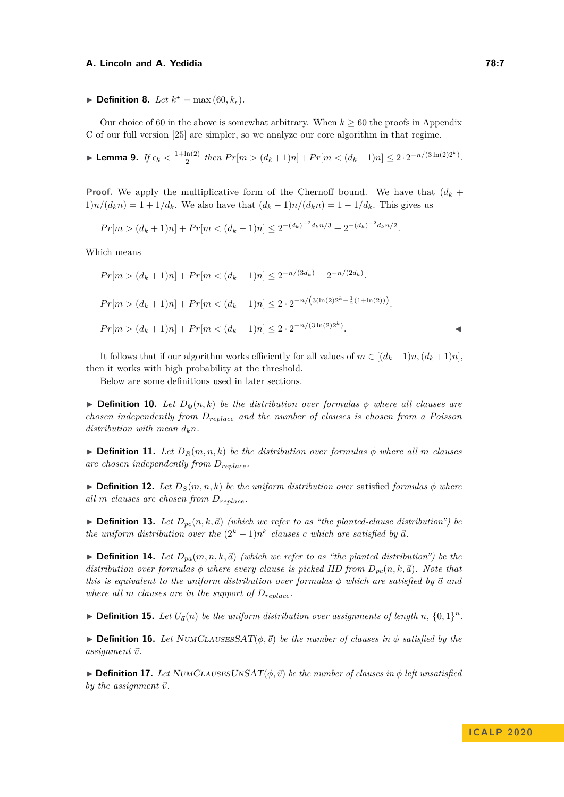$\blacktriangleright$  **Definition 8.** *Let*  $k^* = \max(60, k_\epsilon)$ *.* 

Our choice of 60 in the above is somewhat arbitrary. When  $k \geq 60$  the proofs in Appendix C of our full version [\[25\]](#page-11-11) are simpler, so we analyze our core algorithm in that regime.

<span id="page-6-0"></span>**Example 1.** *If*  $\epsilon_k < \frac{1+\ln(2)}{2}$  $\frac{\ln(2)}{2}$  then  $Pr[m > (d_k + 1)n] + Pr[m < (d_k - 1)n] \leq 2 \cdot 2^{-n/(3\ln(2)2^k)}$ .

**Proof.** We apply the multiplicative form of the Chernoff bound. We have that  $(d_k +$  $1)$ *n*/ $(d_k n) = 1 + 1/d_k$ . We also have that  $(d_k - 1)n/(d_k n) = 1 - 1/d_k$ . This gives us

$$
Pr[m > (d_k + 1)n] + Pr[m < (d_k - 1)n] \le 2^{-(d_k)^{-2}d_k n/3} + 2^{-(d_k)^{-2}d_k n/2}.
$$

Which means

$$
Pr[m > (d_k + 1)n] + Pr[m < (d_k - 1)n] \le 2^{-n/(3d_k)} + 2^{-n/(2d_k)}.
$$
  

$$
Pr[m > (d_k + 1)n] + Pr[m < (d_k - 1)n] \le 2 \cdot 2^{-n/(3(\ln(2)2^k - \frac{1}{2}(1 + \ln(2)))}.
$$
  

$$
Pr[m > (d_k + 1)n] + Pr[m < (d_k - 1)n] \le 2 \cdot 2^{-n/(3\ln(2)2^k)}.
$$

It follows that if our algorithm works efficiently for all values of  $m \in [(d_k-1)n, (d_k+1)n]$ , then it works with high probability at the threshold.

Below are some definitions used in later sections.

 $\triangleright$  **Definition 10.** Let  $D_{\Phi}(n, k)$  be the distribution over formulas  $\phi$  where all clauses are *chosen independently from Dreplace and the number of clauses is chosen from a Poisson distribution with mean*  $d_k n$ .

 $\triangleright$  **Definition 11.** Let  $D_R(m, n, k)$  be the distribution over formulas  $\phi$  where all m clauses *are chosen independently from Dreplace.*

 $\triangleright$  **Definition 12.** Let  $D_S(m, n, k)$  be the uniform distribution over satisfied formulas  $\phi$  where *all m clauses are chosen from Dreplace.*

 $\blacktriangleright$  **Definition 13.** Let  $D_{pc}(n, k, \vec{a})$  *(which we refer to as "the planted-clause distribution") be the uniform distribution over the*  $(2^k - 1)n^k$  *clauses c* which are satisfied by  $\vec{a}$ .

**Definition 14.** Let  $D_{pa}(m, n, k, \vec{a})$  *(which we refer to as "the planted distribution") be the distribution over formulas*  $\phi$  *where every clause is picked IID from*  $D_{pc}(n, k, \vec{a})$ *. Note that this is equivalent to the uniform distribution over formulas*  $\phi$  *which are satisfied by*  $\vec{a}$  *and where all m clauses are in the support of Dreplace.*

 $\blacktriangleright$  **Definition 15.** Let  $U_{\vec{a}}(n)$  be the uniform distribution over assignments of length n,  $\{0,1\}^n$ .

 $\triangleright$  **Definition 16.** Let NUMCLAUSESSAT $(\phi, \vec{v})$  be the number of clauses in  $\phi$  satisfied by the  $assignment \vec{v}$ .

 $\triangleright$  **Definition 17.** Let NUMCLAUSESUNSAT $(\phi, \vec{v})$  be the number of clauses in  $\phi$  left unsatisfied *by the assignment*  $\vec{v}$ *.*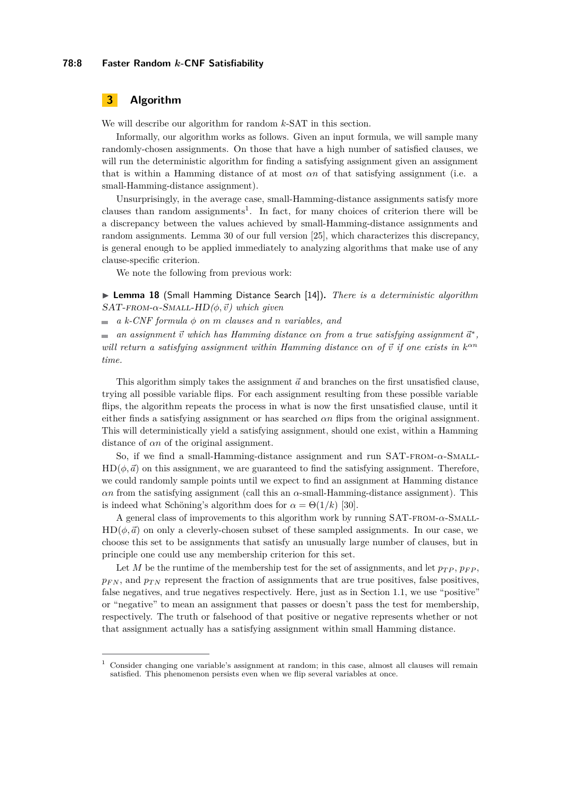#### **78:8 Faster Random** *k***-CNF Satisfiability**

# <span id="page-7-0"></span>**3 Algorithm**

We will describe our algorithm for random *k*-SAT in this section.

Informally, our algorithm works as follows. Given an input formula, we will sample many randomly-chosen assignments. On those that have a high number of satisfied clauses, we will run the deterministic algorithm for finding a satisfying assignment given an assignment that is within a Hamming distance of at most *αn* of that satisfying assignment (i.e. a small-Hamming-distance assignment).

Unsurprisingly, in the average case, small-Hamming-distance assignments satisfy more clauses than random assignments<sup>[1](#page-7-1)</sup>. In fact, for many choices of criterion there will be a discrepancy between the values achieved by small-Hamming-distance assignments and random assignments. Lemma 30 of our full version [\[25\]](#page-11-11), which characterizes this discrepancy, is general enough to be applied immediately to analyzing algorithms that make use of any clause-specific criterion.

We note the following from previous work:

I **Lemma 18** (Small Hamming Distance Search [\[14\]](#page-10-2))**.** *There is a deterministic algorithm*  $SAT$ - $FROM$ - $\alpha$ - $SMALL$ - $HD$  $(\phi, \vec{v})$  which given

 $\blacksquare$  *a k*-CNF formula  $\phi$  *on m clauses and n variables, and* 

*an assignment*  $\vec{v}$  *which has Hamming distance*  $\alpha n$  *from a true satisfying assignment*  $\vec{a}^*$ *, will return a satisfying assignment within Hamming distance*  $\alpha n$  *of*  $\vec{v}$  *if one exists in*  $k^{\alpha n}$ *time.*

This algorithm simply takes the assignment  $\vec{a}$  and branches on the first unsatisfied clause, trying all possible variable flips. For each assignment resulting from these possible variable flips, the algorithm repeats the process in what is now the first unsatisfied clause, until it either finds a satisfying assignment or has searched *αn* flips from the original assignment. This will deterministically yield a satisfying assignment, should one exist, within a Hamming distance of *αn* of the original assignment.

So, if we find a small-Hamming-distance assignment and run SAT-from-*α*-Small- $HD(\phi, \vec{a})$  on this assignment, we are guaranteed to find the satisfying assignment. Therefore, we could randomly sample points until we expect to find an assignment at Hamming distance  $\alpha$ *n* from the satisfying assignment (call this an  $\alpha$ -small-Hamming-distance assignment). This is indeed what Schöning's algorithm does for  $\alpha = \Theta(1/k)$  [\[30\]](#page-11-10).

A general class of improvements to this algorithm work by running SAT-from-*α*-Small- $HD(\phi, \vec{a})$  on only a cleverly-chosen subset of these sampled assignments. In our case, we choose this set to be assignments that satisfy an unusually large number of clauses, but in principle one could use any membership criterion for this set.

Let *M* be the runtime of the membership test for the set of assignments, and let  $p_{TP}$ ,  $p_{FP}$ ,  $p_{FN}$ , and  $p_{TN}$  represent the fraction of assignments that are true positives, false positives, false negatives, and true negatives respectively. Here, just as in Section [1.1,](#page-1-0) we use "positive" or "negative" to mean an assignment that passes or doesn't pass the test for membership, respectively. The truth or falsehood of that positive or negative represents whether or not that assignment actually has a satisfying assignment within small Hamming distance.

<span id="page-7-1"></span> $<sup>1</sup>$  Consider changing one variable's assignment at random; in this case, almost all clauses will remain</sup> satisfied. This phenomenon persists even when we flip several variables at once.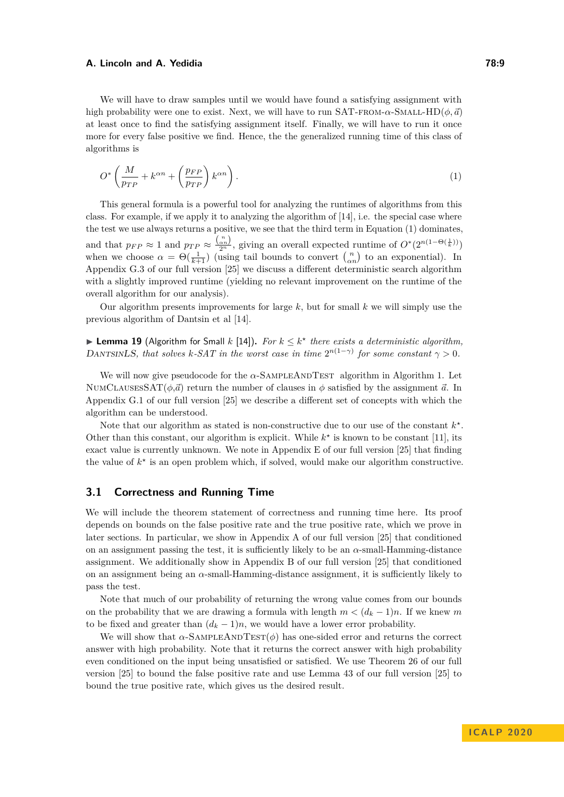We will have to draw samples until we would have found a satisfying assignment with high probability were one to exist. Next, we will have to run SAT-FROM- $\alpha$ -SMALL-HD( $\phi$ ,  $\vec{a}$ ) at least once to find the satisfying assignment itself. Finally, we will have to run it once more for every false positive we find. Hence, the the generalized running time of this class of algorithms is

<span id="page-8-0"></span>
$$
O^* \left( \frac{M}{p_{TP}} + k^{\alpha n} + \left( \frac{p_{FP}}{p_{TP}} \right) k^{\alpha n} \right). \tag{1}
$$

This general formula is a powerful tool for analyzing the runtimes of algorithms from this class. For example, if we apply it to analyzing the algorithm of [\[14\]](#page-10-2), i.e. the special case where the test we use always returns a positive, we see that the third term in Equation [\(1\)](#page-8-0) dominates, and that  $p_{FP} \approx 1$  and  $p_{TP} \approx \frac{\binom{n}{\alpha n}}{2^n}$ , giving an overall expected runtime of  $O^*(2^{n(1-\Theta(\frac{1}{k}))})$ when we choose  $\alpha = \Theta(\frac{1}{k+1})$  (using tail bounds to convert  $\binom{n}{\alpha n}$  to an exponential). In Appendix G.3 of our full version [\[25\]](#page-11-11) we discuss a different deterministic search algorithm with a slightly improved runtime (yielding no relevant improvement on the runtime of the overall algorithm for our analysis).

Our algorithm presents improvements for large *k*, but for small *k* we will simply use the previous algorithm of Dantsin et al [\[14\]](#page-10-2).

▶ Lemma 19 (Algorithm for Small *k* [\[14\]](#page-10-2)). For  $k ≤ k<sup>∗</sup>$  there exists a deterministic algorithm, DANTSINLS, that solves *k*-SAT in the worst case in time  $2^{n(1-\gamma)}$  for some constant  $\gamma > 0$ .

We will now give pseudocode for the  $\alpha$ -SAMPLEANDTEST algorithm in Algorithm [1.](#page-9-2) Let NUMCLAUSESSAT $(\phi, \vec{a})$  return the number of clauses in  $\phi$  satisfied by the assignment  $\vec{a}$ . In Appendix G.1 of our full version [\[25\]](#page-11-11) we describe a different set of concepts with which the algorithm can be understood.

Note that our algorithm as stated is non-constructive due to our use of the constant  $k^*$ . Other than this constant, our algorithm is explicit. While  $k^*$  is known to be constant [\[11\]](#page-10-16), its exact value is currently unknown. We note in Appendix E of our full version [\[25\]](#page-11-11) that finding the value of  $k^*$  is an open problem which, if solved, would make our algorithm constructive.

# **3.1 Correctness and Running Time**

We will include the theorem statement of correctness and running time here. Its proof depends on bounds on the false positive rate and the true positive rate, which we prove in later sections. In particular, we show in Appendix A of our full version [\[25\]](#page-11-11) that conditioned on an assignment passing the test, it is sufficiently likely to be an  $\alpha$ -small-Hamming-distance assignment. We additionally show in Appendix B of our full version [\[25\]](#page-11-11) that conditioned on an assignment being an *α*-small-Hamming-distance assignment, it is sufficiently likely to pass the test.

Note that much of our probability of returning the wrong value comes from our bounds on the probability that we are drawing a formula with length  $m < (d_k - 1)n$ . If we knew m to be fixed and greater than  $(d_k - 1)n$ , we would have a lower error probability.

We will show that  $\alpha$ -SAMPLEANDTEST( $\phi$ ) has one-sided error and returns the correct answer with high probability. Note that it returns the correct answer with high probability even conditioned on the input being unsatisfied or satisfied. We use Theorem 26 of our full version [\[25\]](#page-11-11) to bound the false positive rate and use Lemma 43 of our full version [\[25\]](#page-11-11) to bound the true positive rate, which gives us the desired result.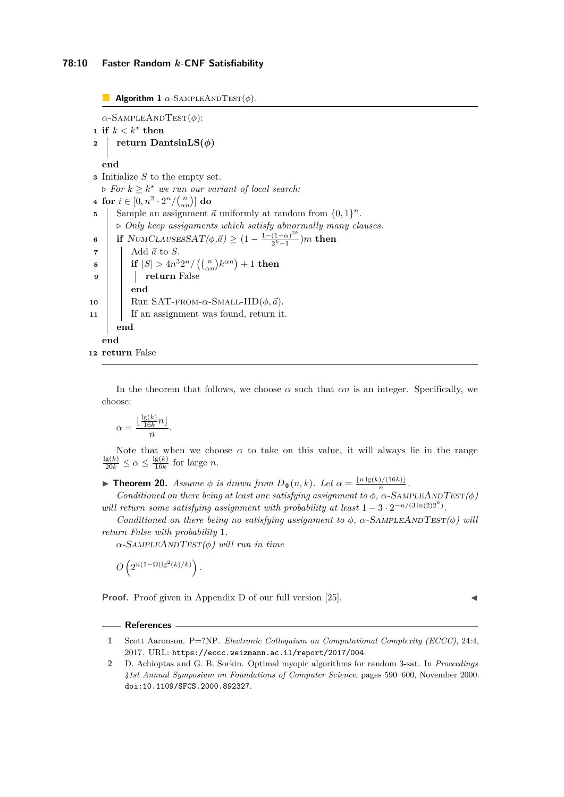## **78:10 Faster Random** *k***-CNF Satisfiability**

<span id="page-9-2"></span>**Algorithm 1**  $\alpha$ -SAMPLEANDTEST( $\phi$ ).

 $\alpha$ -SampleAndTest( $\phi$ ): 1 **if**  $k < k^*$  then *return* DantsinLS( $\phi$ ) **end <sup>3</sup>** Initialize *S* to the empty set.  $\triangleright$  *For*  $k \geq k^*$  *we run our variant of local search:* **4 for**  $i \in [0, n^2 \cdot 2^n / {n \choose \alpha n}]$  **do 5** Sample an assignment  $\vec{a}$  uniformly at random from  $\{0,1\}^n$ . *. Only keep assignments which satisfy abnormally many clauses.* **6 if** NUMCLAUSESSAT $(\phi, \vec{a}) \geq (1 - \frac{1 - (1 - \alpha)^{2k}}{2k})$  $\frac{(1-\alpha)^{-n}}{2^k-1}$ )*m* then  $\mathbf{7}$  | Add  $\vec{a}$  to *S*.  $\textbf{s} \quad | \quad \textbf{if} \; |S| > 4n^3 2^n / \left( \binom{n}{\alpha n} k^{\alpha n} \right) + 1 \; \textbf{then}$ **<sup>9</sup> return** False **end 10** Run SAT-FROM- $\alpha$ -SMALL-HD $(\phi, \vec{a})$ . **11** | If an assignment was found, return it. **end end**

**<sup>12</sup> return** False

In the theorem that follows, we choose  $\alpha$  such that  $\alpha n$  is an integer. Specifically, we choose:

$$
\alpha = \frac{\lfloor \frac{\lg(k)}{16k} n \rfloor}{n}.
$$

Note that when we choose  $\alpha$  to take on this value, it will always lie in the range  $\frac{\lg(k)}{20k} \leq \alpha \leq \frac{\lg(k)}{16k}$  $\frac{g(k)}{16k}$  for large *n*.

**Find 10.** *Assume*  $\phi$  *is drawn from*  $D_{\Phi}(n, k)$ *. Let*  $\alpha = \frac{\lfloor n \lg(k)/(16k) \rfloor}{n}$  $\frac{f/(16\kappa)}{n}$ .

*Conditioned on there being at least one satisfying assignment to*  $\phi$ *,*  $\alpha$ *-SAMPLEANDTEST(* $\phi$ *) will return some satisfying assignment with probability at least*  $1 - 3 \cdot 2^{-n/(3\ln(2)2^k)}$ .

*Conditioned on there being no satisfying assignment to*  $\phi$ ,  $\alpha$ -SAMPLEANDTEST $(\phi)$  will *return False with probability* 1*.*

*α*-SampleAndTest*(φ) will run in time*

$$
O\left(2^{n(1-\Omega(\lg^2(k)/k)}\right).
$$

**Proof.** Proof given in Appendix D of our full version [\[25\]](#page-11-11).

#### **References**

<span id="page-9-0"></span>**<sup>1</sup>** Scott Aaronson. P=?NP. *Electronic Colloquium on Computational Complexity (ECCC)*, 24:4, 2017. URL: <https://eccc.weizmann.ac.il/report/2017/004>.

<span id="page-9-1"></span>**<sup>2</sup>** D. Achioptas and G. B. Sorkin. Optimal myopic algorithms for random 3-sat. In *Proceedings 41st Annual Symposium on Foundations of Computer Science*, pages 590–600, November 2000. [doi:10.1109/SFCS.2000.892327](https://doi.org/10.1109/SFCS.2000.892327).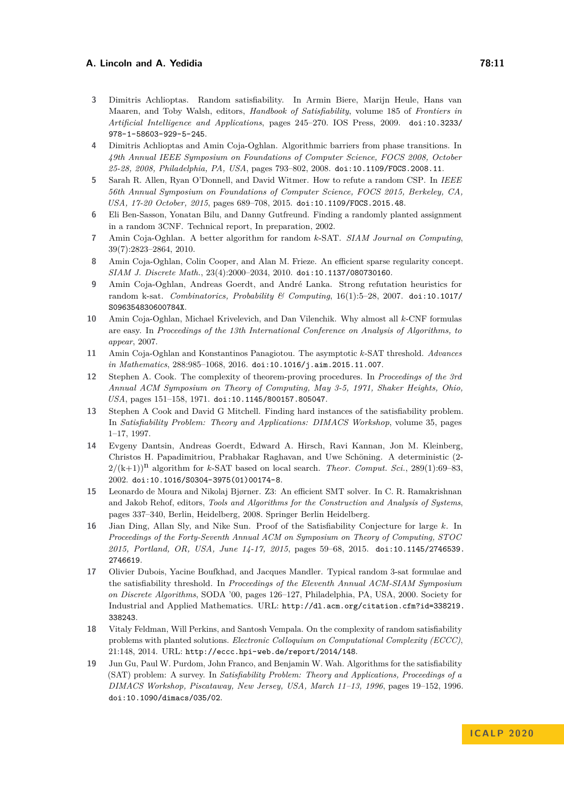- <span id="page-10-1"></span>**3** Dimitris Achlioptas. Random satisfiability. In Armin Biere, Marijn Heule, Hans van Maaren, and Toby Walsh, editors, *Handbook of Satisfiability*, volume 185 of *Frontiers in Artificial Intelligence and Applications*, pages 245–270. IOS Press, 2009. [doi:10.3233/](https://doi.org/10.3233/978-1-58603-929-5-245) [978-1-58603-929-5-245](https://doi.org/10.3233/978-1-58603-929-5-245).
- <span id="page-10-10"></span>**4** Dimitris Achlioptas and Amin Coja-Oghlan. Algorithmic barriers from phase transitions. In *49th Annual IEEE Symposium on Foundations of Computer Science, FOCS 2008, October 25-28, 2008, Philadelphia, PA, USA*, pages 793–802, 2008. [doi:10.1109/FOCS.2008.11](https://doi.org/10.1109/FOCS.2008.11).
- <span id="page-10-14"></span>**5** Sarah R. Allen, Ryan O'Donnell, and David Witmer. How to refute a random CSP. In *IEEE 56th Annual Symposium on Foundations of Computer Science, FOCS 2015, Berkeley, CA, USA, 17-20 October, 2015*, pages 689–708, 2015. [doi:10.1109/FOCS.2015.48](https://doi.org/10.1109/FOCS.2015.48).
- <span id="page-10-9"></span>**6** Eli Ben-Sasson, Yonatan Bilu, and Danny Gutfreund. Finding a randomly planted assignment in a random 3CNF. Technical report, In preparation, 2002.
- <span id="page-10-7"></span>**7** Amin Coja-Oghlan. A better algorithm for random *k*-SAT. *SIAM Journal on Computing*, 39(7):2823–2864, 2010.
- <span id="page-10-13"></span>**8** Amin Coja-Oghlan, Colin Cooper, and Alan M. Frieze. An efficient sparse regularity concept. *SIAM J. Discrete Math.*, 23(4):2000–2034, 2010. [doi:10.1137/080730160](https://doi.org/10.1137/080730160).
- <span id="page-10-12"></span>**9** Amin Coja-Oghlan, Andreas Goerdt, and André Lanka. Strong refutation heuristics for random k-sat. *Combinatorics, Probability & Computing*, 16(1):5–28, 2007. [doi:10.1017/](https://doi.org/10.1017/S096354830600784X) [S096354830600784X](https://doi.org/10.1017/S096354830600784X).
- <span id="page-10-6"></span>**10** Amin Coja-Oghlan, Michael Krivelevich, and Dan Vilenchik. Why almost all *k*-CNF formulas are easy. In *Proceedings of the 13th International Conference on Analysis of Algorithms, to appear*, 2007.
- <span id="page-10-16"></span>**11** Amin Coja-Oghlan and Konstantinos Panagiotou. The asymptotic *k*-SAT threshold. *Advances in Mathematics*, 288:985–1068, 2016. [doi:10.1016/j.aim.2015.11.007](https://doi.org/10.1016/j.aim.2015.11.007).
- <span id="page-10-3"></span>**12** Stephen A. Cook. The complexity of theorem-proving procedures. In *Proceedings of the 3rd Annual ACM Symposium on Theory of Computing, May 3-5, 1971, Shaker Heights, Ohio, USA*, pages 151–158, 1971. [doi:10.1145/800157.805047](https://doi.org/10.1145/800157.805047).
- <span id="page-10-8"></span>**13** Stephen A Cook and David G Mitchell. Finding hard instances of the satisfiability problem. In *Satisfiability Problem: Theory and Applications: DIMACS Workshop*, volume 35, pages 1–17, 1997.
- <span id="page-10-2"></span>**14** Evgeny Dantsin, Andreas Goerdt, Edward A. Hirsch, Ravi Kannan, Jon M. Kleinberg, Christos H. Papadimitriou, Prabhakar Raghavan, and Uwe Schöning. A deterministic (2-  $2/(k+1)$ <sup>n</sup> algorithm for *k*-SAT based on local search. *Theor. Comput. Sci.*, 289(1):69–83, 2002. [doi:10.1016/S0304-3975\(01\)00174-8](https://doi.org/10.1016/S0304-3975(01)00174-8).
- <span id="page-10-4"></span>**15** Leonardo de Moura and Nikolaj Bjørner. Z3: An efficient SMT solver. In C. R. Ramakrishnan and Jakob Rehof, editors, *Tools and Algorithms for the Construction and Analysis of Systems*, pages 337–340, Berlin, Heidelberg, 2008. Springer Berlin Heidelberg.
- <span id="page-10-5"></span>**16** Jian Ding, Allan Sly, and Nike Sun. Proof of the Satisfiability Conjecture for large *k*. In *Proceedings of the Forty-Seventh Annual ACM on Symposium on Theory of Computing, STOC 2015, Portland, OR, USA, June 14-17, 2015*, pages 59–68, 2015. [doi:10.1145/2746539.](https://doi.org/10.1145/2746539.2746619) [2746619](https://doi.org/10.1145/2746539.2746619).
- <span id="page-10-15"></span>**17** Olivier Dubois, Yacine Boufkhad, and Jacques Mandler. Typical random 3-sat formulae and the satisfiability threshold. In *Proceedings of the Eleventh Annual ACM-SIAM Symposium on Discrete Algorithms*, SODA '00, pages 126–127, Philadelphia, PA, USA, 2000. Society for Industrial and Applied Mathematics. URL: [http://dl.acm.org/citation.cfm?id=338219.](http://dl.acm.org/citation.cfm?id=338219.338243) [338243](http://dl.acm.org/citation.cfm?id=338219.338243).
- <span id="page-10-11"></span>**18** Vitaly Feldman, Will Perkins, and Santosh Vempala. On the complexity of random satisfiability problems with planted solutions. *Electronic Colloquium on Computational Complexity (ECCC)*, 21:148, 2014. URL: <http://eccc.hpi-web.de/report/2014/148>.
- <span id="page-10-0"></span>**19** Jun Gu, Paul W. Purdom, John Franco, and Benjamin W. Wah. Algorithms for the satisfiability (SAT) problem: A survey. In *Satisfiability Problem: Theory and Applications, Proceedings of a DIMACS Workshop, Piscataway, New Jersey, USA, March 11–13, 1996*, pages 19–152, 1996. [doi:10.1090/dimacs/035/02](https://doi.org/10.1090/dimacs/035/02).